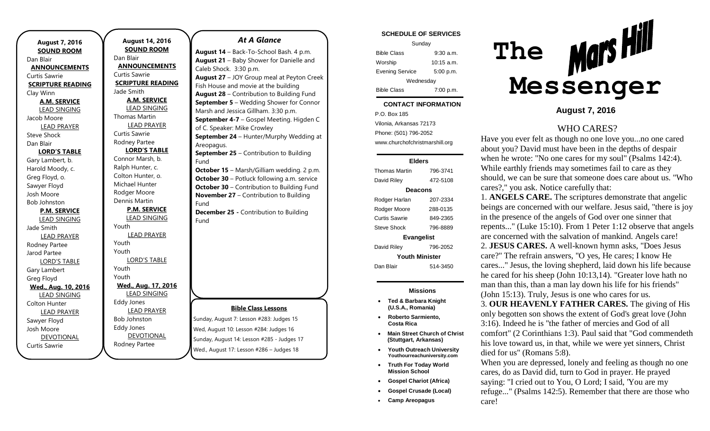| <b>August 7, 2016</b>          |  |  |
|--------------------------------|--|--|
| <b>SOUND ROOM</b><br>Dan Blair |  |  |
| <b>ANNOUNCEMENTS</b>           |  |  |
| Curtis Sawrie                  |  |  |
| <b>SCRIPTURE READING</b>       |  |  |
| Clay Winn                      |  |  |
| <b>A.M. SERVICE</b>            |  |  |
| <b>LEAD SINGING</b>            |  |  |
| Jacob Moore                    |  |  |
| <b>LEAD PRAYER</b>             |  |  |
| <b>Steve Shock</b>             |  |  |
| Dan Blair                      |  |  |
| <b>LORD'S TABLE</b>            |  |  |
| Gary Lambert, b.               |  |  |
| Harold Moody, c.               |  |  |
| Greg Floyd, o.                 |  |  |
| Sawyer Floyd                   |  |  |
| Josh Moore                     |  |  |
| <b>Bob Johnston</b>            |  |  |
| <b>P.M. SERVICE</b>            |  |  |
| <b>LEAD SINGING</b>            |  |  |
| Jade Smith                     |  |  |
| <b>LEAD PRAYER</b>             |  |  |
| Rodney Partee                  |  |  |
| Jarod Partee                   |  |  |
| <b>LORD'S TABLE</b>            |  |  |
| Gary Lambert<br>Greg Floyd     |  |  |
| Wed., Aug. 10, 2016            |  |  |
| <b>LEAD SINGING</b>            |  |  |
| Colton Hunter                  |  |  |
| <b>LEAD PRAYER</b>             |  |  |
| Sawyer Floyd                   |  |  |
| Josh Moore                     |  |  |
| <b>DEVOTIONAL</b>              |  |  |
| Curtis Sawrie                  |  |  |

**August 14, 2016 SOUND ROOM** Dan Blair **ANNOUNCEMENTS** Curtis Sawrie **SCRIPTURE READING** Jade Smith **A.M. SERVICE** LEAD SINGING Thomas Martin LEAD PRAYER Curtis Sawrie Rodney Partee **LORD'S TABLE** Connor Marsh, b. Ralph Hunter, c. Colton Hunter, o. Michael Hunter Rodger Moore Dennis Martin **P.M. SERVICE** LEAD SINGING Youth LEAD PRAYER Youth Youth LORD'S TABLE Youth Youth **Wed., Aug. 17, 2016** LEAD SINGING Eddy Jones LEAD PRAYER Bob Johnston Eddy Jones

DEVOTIONAL Rodney Partee

## *At A Glance*

**August 14** – Back-To-School Bash. 4 p.m. **August 21** – Baby Shower for Danielle and Caleb Shock. 3:30 p.m. **August 27** – JOY Group meal at Peyton Creek Fish House and movie at the building **August 28** – Contribution to Building Fund **September 5** – Wedding Shower for Connor Marsh and Jessica Gillham. 3:30 p.m. **September 4-7** – Gospel Meeting. Higden C of C. Speaker: Mike Crowley **September 24** – Hunter/Murphy Wedding at Areopagus. **September 25** – Contribution to Building Fund **October 15** – Marsh/Gilliam wedding. 2 p.m. **October 30** – Potluck following a.m. service **October 30** – Contribution to Building Fund **November 27** – Contribution to Building Fund **December 25 -** Contribution to Building Fund

### **Bible Class Lessons**

Sunday, August 7: Lesson #283: Judges 15 Wed, August 10: Lesson #284: Judges 16 Sunday, August 14: Lesson #285 - Judges 17 Wed., August 17: Lesson #286 – Judges 18

#### **SCHEDULE OF SERVICES**

| Sunday                 |              |  |
|------------------------|--------------|--|
| <b>Bible Class</b>     | $9:30$ a.m.  |  |
| Worship                | $10:15$ a.m. |  |
| <b>Evening Service</b> | 5:00 p.m.    |  |
| Wednesday              |              |  |
| <b>Bible Class</b>     | 7:00 p.m.    |  |

#### tuesday. **CONTACT INFORMATION**

. .o. Box 100<br>Vilonia, Arkansas 72173 P.O. Box 185 Phone: (501) 796-2052 www.churchofchristmarshill.org

#### **Elders**

| <b>Thomas Martin</b>  | 796-3741 |  |
|-----------------------|----------|--|
| David Riley           | 472-5108 |  |
| Deacons               |          |  |
| Rodger Harlan         | 207-2334 |  |
| Rodger Moore          | 288-0135 |  |
| Curtis Sawrie         | 849-2365 |  |
| Steve Shock           | 796-8889 |  |
| <b>Evangelist</b>     |          |  |
| David Riley           | 796-2052 |  |
| <b>Youth Minister</b> |          |  |
| Dan Blair             | 514-3450 |  |

### **Missions**

- **Ted & Barbara Knight (U.S.A., Romania)**
- **Roberto Sarmiento, Costa Rica**
- **Main Street Church of Christ (Stuttgart, Arkansas)**
- **Youth Outreach University Youthourreachuniversity.com**
- **Truth For Today World Mission School**
- **Gospel Chariot (Africa)**
- **Gospel Crusade (Local)**
- **Camp Areopagus**



**August 7, 2016**

# WHO CARES?

Have you ever felt as though no one love you...no one cared about you? David must have been in the depths of despair when he wrote: "No one cares for my soul" (Psalms 142:4). While earthly friends may sometimes fail to care as they should, we can be sure that someone does care about us. "Who cares?," you ask. Notice carefully that:

1. **ANGELS CARE.** The scriptures demonstrate that angelic beings are concerned with our welfare. Jesus said, "there is joy in the presence of the angels of God over one sinner that repents..." (Luke 15:10). From 1 Peter 1:12 observe that angels are concerned with the salvation of mankind. Angels care! 2. **JESUS CARES.** A well-known hymn asks, "Does Jesus care?" The refrain answers, "O yes, He cares; I know He cares..." Jesus, the loving shepherd, laid down his life because he cared for his sheep (John 10:13,14). "Greater love hath no man than this, than a man lay down his life for his friends" (John 15:13). Truly, Jesus is one who cares for us. 3. **OUR HEAVENLY FATHER CARES.** The giving of His

only begotten son shows the extent of God's great love (John 3:16). Indeed he is "the father of mercies and God of all comfort" (2 Corinthians 1:3). Paul said that "God commendeth his love toward us, in that, while we were yet sinners, Christ died for us" (Romans 5:8).

When you are depressed, lonely and feeling as though no one cares, do as David did, turn to God in prayer. He prayed saying: "I cried out to You, O Lord; I said, 'You are my refuge..." (Psalms 142:5). Remember that there are those who care!